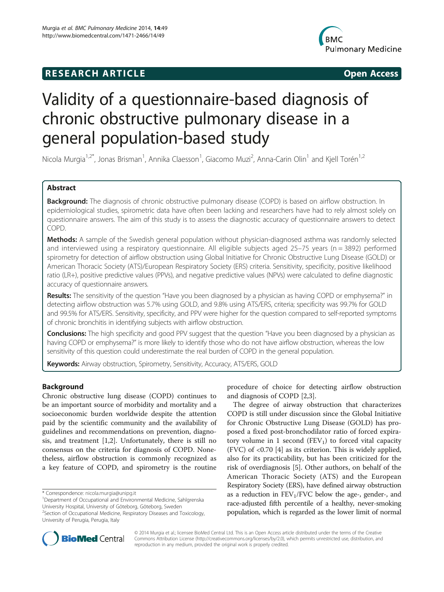## **RESEARCH ARTICLE Example 2014 CONSIDERING CONSIDERING CONSIDERING CONSIDERING CONSIDERING CONSIDERING CONSIDERING CONSIDERING CONSIDERING CONSIDERING CONSIDERING CONSIDERING CONSIDERING CONSIDERING CONSIDERING CONSIDE**



# Validity of a questionnaire-based diagnosis of chronic obstructive pulmonary disease in a general population-based study

Nicola Murgia<sup>1,2\*</sup>, Jonas Brisman<sup>1</sup>, Annika Claesson<sup>1</sup>, Giacomo Muzi<sup>2</sup>, Anna-Carin Olin<sup>1</sup> and Kjell Torén<sup>1,2</sup>

## Abstract

Background: The diagnosis of chronic obstructive pulmonary disease (COPD) is based on airflow obstruction. In epidemiological studies, spirometric data have often been lacking and researchers have had to rely almost solely on questionnaire answers. The aim of this study is to assess the diagnostic accuracy of questionnaire answers to detect COPD.

Methods: A sample of the Swedish general population without physician-diagnosed asthma was randomly selected and interviewed using a respiratory questionnaire. All eligible subjects aged 25–75 years (n = 3892) performed spirometry for detection of airflow obstruction using Global Initiative for Chronic Obstructive Lung Disease (GOLD) or American Thoracic Society (ATS)/European Respiratory Society (ERS) criteria. Sensitivity, specificity, positive likelihood ratio (LR+), positive predictive values (PPVs), and negative predictive values (NPVs) were calculated to define diagnostic accuracy of questionnaire answers.

Results: The sensitivity of the question "Have you been diagnosed by a physician as having COPD or emphysema?" in detecting airflow obstruction was 5.7% using GOLD, and 9.8% using ATS/ERS, criteria; specificity was 99.7% for GOLD and 99.5% for ATS/ERS. Sensitivity, specificity, and PPV were higher for the question compared to self-reported symptoms of chronic bronchitis in identifying subjects with airflow obstruction.

**Conclusions:** The high specificity and good PPV suggest that the question "Have you been diagnosed by a physician as having COPD or emphysema?" is more likely to identify those who do not have airflow obstruction, whereas the low sensitivity of this question could underestimate the real burden of COPD in the general population.

Keywords: Airway obstruction, Spirometry, Sensitivity, Accuracy, ATS/ERS, GOLD

## Background

Chronic obstructive lung disease (COPD) continues to be an important source of morbidity and mortality and a socioeconomic burden worldwide despite the attention paid by the scientific community and the availability of guidelines and recommendations on prevention, diagnosis, and treatment [\[1,2](#page-5-0)]. Unfortunately, there is still no consensus on the criteria for diagnosis of COPD. Nonetheless, airflow obstruction is commonly recognized as a key feature of COPD, and spirometry is the routine

procedure of choice for detecting airflow obstruction and diagnosis of COPD [\[2,3](#page-5-0)].

The degree of airway obstruction that characterizes COPD is still under discussion since the Global Initiative for Chronic Obstructive Lung Disease (GOLD) has proposed a fixed post-bronchodilator ratio of forced expiratory volume in 1 second  $(FEV_1)$  to forced vital capacity (FVC) of <0.70 [\[4](#page-5-0)] as its criterion. This is widely applied, also for its practicability, but has been criticized for the risk of overdiagnosis [[5\]](#page-5-0). Other authors, on behalf of the American Thoracic Society (ATS) and the European Respiratory Society (ERS), have defined airway obstruction as a reduction in  $FEV_1/FVC$  below the age-, gender-, and race-adjusted fifth percentile of a healthy, never-smoking population, which is regarded as the lower limit of normal



© 2014 Murgia et al.; licensee BioMed Central Ltd. This is an Open Access article distributed under the terms of the Creative Commons Attribution License [\(http://creativecommons.org/licenses/by/2.0\)](http://creativecommons.org/licenses/by/2.0), which permits unrestricted use, distribution, and reproduction in any medium, provided the original work is properly credited.

<sup>\*</sup> Correspondence: [nicola.murgia@unipg.it](mailto:nicola.murgia@unipg.it) <sup>1</sup>

Department of Occupational and Environmental Medicine, Sahlgrenska University Hospital, University of Göteborg, Göteborg, Sweden

<sup>&</sup>lt;sup>2</sup>Section of Occupational Medicine, Respiratory Diseases and Toxicology, University of Perugia, Perugia, Italy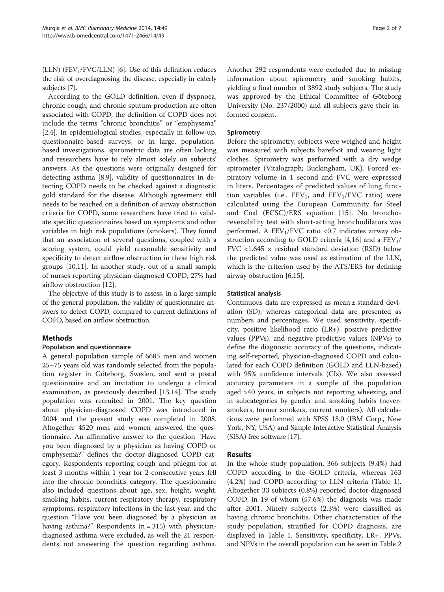(LLN) (FEV<sub>1</sub>/FVC/LLN) [\[6\]](#page-5-0). Use of this definition reduces the risk of overdiagnosing the disease, especially in elderly subjects [[7\]](#page-6-0).

According to the GOLD definition, even if dyspnoea, chronic cough, and chronic sputum production are often associated with COPD, the definition of COPD does not include the terms "chronic bronchitis" or "emphysema" [[2,4\]](#page-5-0). In epidemiological studies, especially in follow-up, questionnaire-based surveys, or in large, populationbased investigations, spirometric data are often lacking and researchers have to rely almost solely on subjects' answers. As the questions were originally designed for detecting asthma [[8,9\]](#page-6-0), validity of questionnaires in detecting COPD needs to be checked against a diagnostic gold standard for the disease. Although agreement still needs to be reached on a definition of airway obstruction criteria for COPD, some researchers have tried to validate specific questionnaires based on symptoms and other variables in high risk populations (smokers). They found that an association of several questions, coupled with a scoring system, could yield reasonable sensitivity and specificity to detect airflow obstruction in these high risk groups [[10](#page-6-0),[11](#page-6-0)]. In another study, out of a small sample of nurses reporting physician-diagnosed COPD, 27% had airflow obstruction [[12](#page-6-0)].

The objective of this study is to assess, in a large sample of the general population, the validity of questionnaire answers to detect COPD, compared to current definitions of COPD, based on airflow obstruction.

## **Methods**

## Population and questionnaire

A general population sample of 6685 men and women 25–75 years old was randomly selected from the population register in Göteborg, Sweden, and sent a postal questionnaire and an invitation to undergo a clinical examination, as previously described [\[13,14](#page-6-0)]. The study population was recruited in 2001. The key question about physician-diagnosed COPD was introduced in 2004 and the present study was completed in 2008. Altogether 4520 men and women answered the questionnaire. An affirmative answer to the question "Have you been diagnosed by a physician as having COPD or emphysema?" defines the doctor-diagnosed COPD category. Respondents reporting cough and phlegm for at least 3 months within 1 year for 2 consecutive years fell into the chronic bronchitis category. The questionnaire also included questions about age, sex, height, weight, smoking habits, current respiratory therapy, respiratory symptoms, respiratory infections in the last year, and the question "Have you been diagnosed by a physician as having asthma?" Respondents  $(n = 315)$  with physiciandiagnosed asthma were excluded, as well the 21 respondents not answering the question regarding asthma.

Another 292 respondents were excluded due to missing information about spirometry and smoking habits, yielding a final number of 3892 study subjects. The study was approved by the Ethical Committee of Göteborg University (No. 237/2000) and all subjects gave their informed consent.

## **Spirometry**

Before the spirometry, subjects were weighed and height was measured with subjects barefoot and wearing light clothes. Spirometry was performed with a dry wedge spirometer (Vitalograph; Buckingham, UK). Forced expiratory volume in 1 second and FVC were expressed in liters. Percentages of predicted values of lung function variables (i.e.,  $FEV_1$ , and  $FEV_1/FVC$  ratio) were calculated using the European Community for Steel and Coal (ECSC)/ERS equation [[15](#page-6-0)]. No bronchoreversibility test with short-acting bronchodilators was performed. A  $FEV<sub>1</sub>/FVC$  ratio <0.7 indicates airway ob-struction according to GOLD criteria [[4,](#page-5-0)[16\]](#page-6-0) and a  $FEV<sub>1</sub>/$ FVC <1.645  $\times$  residual standard deviation (RSD) below the predicted value was used as estimation of the LLN, which is the criterion used by the ATS/ERS for defining airway obstruction [\[6](#page-5-0)[,15\]](#page-6-0).

## Statistical analysis

Continuous data are expressed as mean ± standard deviation (SD), whereas categorical data are presented as numbers and percentages. We used sensitivity, specificity, positive likelihood ratio (LR+), positive predictive values (PPVs), and negative predictive values (NPVs) to define the diagnostic accuracy of the questions, indicating self-reported, physician-diagnosed COPD and calculated for each COPD definition (GOLD and LLN-based) with 95% confidence intervals (CIs). We also assessed accuracy parameters in a sample of the population aged >40 years, in subjects not reporting wheezing, and in subcategories by gender and smoking habits (neversmokers, former smokers, current smokers). All calculations were performed with SPSS 18.0 (IBM Corp., New York, NY, USA) and Simple Interactive Statistical Analysis (SISA) free software [\[17\]](#page-6-0).

## Results

In the whole study population, 366 subjects (9.4%) had COPD according to the GOLD criteria, whereas 163 (4.2%) had COPD according to LLN criteria (Table [1](#page-2-0)). Altogether 33 subjects (0.8%) reported doctor-diagnosed COPD, in 19 of whom (57.6%) the diagnosis was made after 2001. Ninety subjects (2.3%) were classified as having chronic bronchitis. Other characteristics of the study population, stratified for COPD diagnosis, are displayed in Table [1](#page-2-0). Sensitivity, specificity, LR+, PPVs, and NPVs in the overall population can be seen in Table [2](#page-3-0)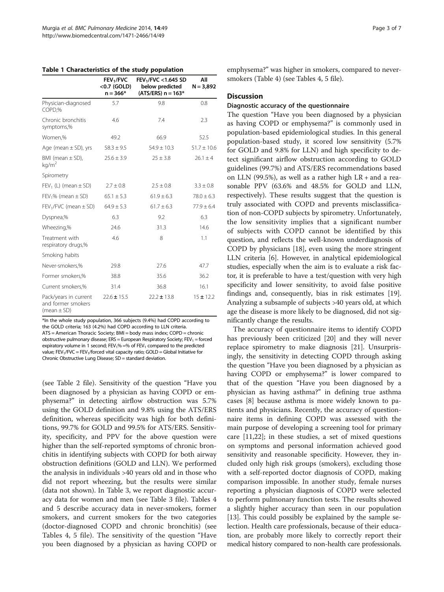<span id="page-2-0"></span>

|  |  | Table 1 Characteristics of the study population |  |  |  |  |
|--|--|-------------------------------------------------|--|--|--|--|
|--|--|-------------------------------------------------|--|--|--|--|

|                                                                | FEV <sub>1</sub> /FVC<br>$<$ 0.7 (GOLD)<br>$n = 366*$ | FEV <sub>1</sub> /FVC <1.645 SD<br>below predicted<br>$(ATS/ERS) n = 163*$ | All<br>$N = 3,892$ |
|----------------------------------------------------------------|-------------------------------------------------------|----------------------------------------------------------------------------|--------------------|
| Physician-diagnosed<br>COPD,%                                  | 5.7                                                   | 9.8                                                                        | 0.8                |
| Chronic bronchitis<br>symptoms,%                               | 4.6                                                   | 7.4                                                                        | 2.3                |
| Women,%                                                        | 49.2                                                  | 66.9                                                                       | 52.5               |
| Age (mean $\pm$ SD), yrs                                       | $58.3 \pm 9.5$                                        | $54.9 \pm 10.3$                                                            | $51.7 \pm 10.6$    |
| BMI (mean $\pm$ SD),<br>kg/m <sup>2</sup>                      | $25.6 \pm 3.9$                                        | $25 \pm 3.8$                                                               | $26.1 \pm 4$       |
| Spirometry                                                     |                                                       |                                                                            |                    |
| $FEV1$ (L) (mean $\pm$ SD)                                     | $2.7 \pm 0.8$                                         | $2.5 \pm 0.8$                                                              | $3.3 \pm 0.8$      |
| $FEV1%$ (mean $\pm$ SD)                                        | $65.1 \pm 5.3$                                        | $61.9 \pm 6.3$                                                             | $78.0 \pm 6.3$     |
| $FEV1/FVC$ (mean $\pm$ SD)                                     | $64.9 \pm 5.3$                                        | $61.7 \pm 6.3$                                                             | $77.9 \pm 6.4$     |
| Dyspnea,%                                                      | 6.3                                                   | 9.2                                                                        | 6.3                |
| Wheezing,%                                                     | 24.6                                                  | 31.3                                                                       | 14.6               |
| Treatment with<br>respiratory drugs,%                          | 4.6                                                   | 8                                                                          | 1.1                |
| Smoking habits                                                 |                                                       |                                                                            |                    |
| Never-smokers,%                                                | 29.8                                                  | 27.6                                                                       | 47.7               |
| Former smokers,%                                               | 38.8                                                  | 35.6                                                                       | 36.2               |
| Current smokers,%                                              | 31.4                                                  | 36.8                                                                       | 16.1               |
| Pack/years in current<br>and former smokers<br>(mean $\pm$ SD) | $22.6 \pm 15.5$                                       | $22.2 \pm 13.8$                                                            | $15 \pm 12.2$      |

\*In the whole study population, 366 subjects (9.4%) had COPD according to the GOLD criteria; 163 (4.2%) had COPD according to LLN criteria. ATS = American Thoracic Society; BMI = body mass index; COPD = chronic obstructive pulmonary disease;  $ERS = European$  Respiratory Society;  $FEV_1 = forced$ expiratory volume in 1 second: FEV<sub>1</sub>% =% of FEV<sub>1</sub> compared to the predicted value;  $FEV<sub>1</sub>/FVC = FEV<sub>1</sub>/forced vital capacity ratio; GOLD = Global Initiative for$ Chronic Obstructive Lung Disease; SD = standard deviation.

(see Table 2 file). Sensitivity of the question "Have you been diagnosed by a physician as having COPD or emphysema?" in detecting airflow obstruction was 5.7% using the GOLD definition and 9.8% using the ATS/ERS definition, whereas specificity was high for both definitions, 99.7% for GOLD and 99.5% for ATS/ERS. Sensitivity, specificity, and PPV for the above question were higher than the self-reported symptoms of chronic bronchitis in identifying subjects with COPD for both airway obstruction definitions (GOLD and LLN). We performed the analysis in individuals >40 years old and in those who did not report wheezing, but the results were similar (data not shown). In Table [3](#page-3-0), we report diagnostic accuracy data for women and men (see Table 3 file). Tables [4](#page-4-0) and [5](#page-4-0) describe accuracy data in never-smokers, former smokers, and current smokers for the two categories (doctor-diagnosed COPD and chronic bronchitis) (see Tables 4, 5 file). The sensitivity of the question "Have you been diagnosed by a physician as having COPD or emphysema?" was higher in smokers, compared to neversmokers (Table [4\)](#page-4-0) (see Tables 4, 5 file).

## **Discussion**

#### Diagnostic accuracy of the questionnaire

The question "Have you been diagnosed by a physician as having COPD or emphysema?" is commonly used in population-based epidemiological studies. In this general population-based study, it scored low sensitivity (5.7% for GOLD and 9.8% for LLN) and high specificity to detect significant airflow obstruction according to GOLD guidelines (99.7%) and ATS/ERS recommendations based on LLN (99.5%), as well as a rather high LR + and a reasonable PPV (63.6% and 48.5% for GOLD and LLN, respectively). These results suggest that the question is truly associated with COPD and prevents misclassification of non-COPD subjects by spirometry. Unfortunately, the low sensitivity implies that a significant number of subjects with COPD cannot be identified by this question, and reflects the well-known underdiagnosis of COPD by physicians [[18\]](#page-6-0), even using the more stringent LLN criteria [[6\]](#page-5-0). However, in analytical epidemiological studies, especially when the aim is to evaluate a risk factor, it is preferable to have a test/question with very high specificity and lower sensitivity, to avoid false positive findings and, consequently, bias in risk estimates [\[19](#page-6-0)]. Analyzing a subsample of subjects >40 years old, at which age the disease is more likely to be diagnosed, did not significantly change the results.

The accuracy of questionnaire items to identify COPD has previously been criticized [[20\]](#page-6-0) and they will never replace spirometry to make diagnosis [\[21\]](#page-6-0). Unsurprisingly, the sensitivity in detecting COPD through asking the question "Have you been diagnosed by a physician as having COPD or emphysema?" is lower compared to that of the question "Have you been diagnosed by a physician as having asthma?" in defining true asthma cases [[8\]](#page-6-0) because asthma is more widely known to patients and physicians. Recently, the accuracy of questionnaire items in defining COPD was assessed with the main purpose of developing a screening tool for primary care [\[11,22\]](#page-6-0); in these studies, a set of mixed questions on symptoms and personal information achieved good sensitivity and reasonable specificity. However, they included only high risk groups (smokers), excluding those with a self-reported doctor diagnosis of COPD, making comparison impossible. In another study, female nurses reporting a physician diagnosis of COPD were selected to perform pulmonary function tests. The results showed a slightly higher accuracy than seen in our population [[13\]](#page-6-0). This could possibly be explained by the sample selection. Health care professionals, because of their education, are probably more likely to correctly report their medical history compared to non-health care professionals.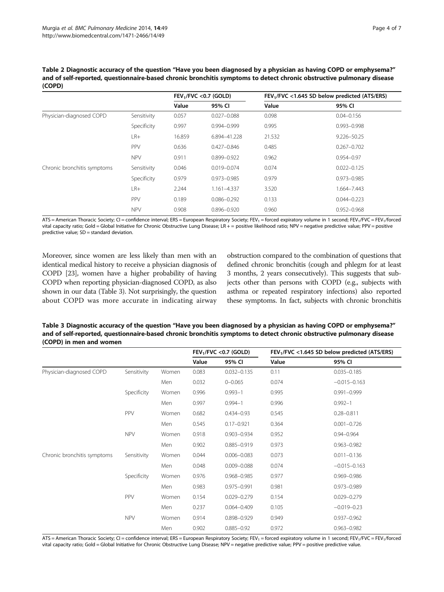<span id="page-3-0"></span>Table 2 Diagnostic accuracy of the question "Have you been diagnosed by a physician as having COPD or emphysema?" and of self-reported, questionnaire-based chronic bronchitis symptoms to detect chronic obstructive pulmonary disease (COPD)

|                             |             | $FEV1/FVC < 0.7$ (GOLD) |                 | FEV <sub>1</sub> /FVC <1.645 SD below predicted (ATS/ERS) |                 |
|-----------------------------|-------------|-------------------------|-----------------|-----------------------------------------------------------|-----------------|
|                             |             | Value                   | 95% CI          | Value                                                     | 95% CI          |
| Physician-diagnosed COPD    | Sensitivity | 0.057                   | $0.027 - 0.088$ | 0.098                                                     | $0.04 - 0.156$  |
|                             | Specificity | 0.997                   | $0.994 - 0.999$ | 0.995                                                     | 0.993-0.998     |
|                             | $LR+$       | 16.859                  | 6.894-41.228    | 21.532                                                    | 9.226-50.25     |
|                             | PPV         | 0.636                   | $0.427 - 0.846$ | 0.485                                                     | $0.267 - 0.702$ |
|                             | <b>NPV</b>  | 0.911                   | $0.899 - 0.922$ | 0.962                                                     | $0.954 - 0.97$  |
| Chronic bronchitis symptoms | Sensitivity | 0.046                   | $0.019 - 0.074$ | 0.074                                                     | $0.022 - 0.125$ |
|                             | Specificity | 0.979                   | 0.973-0.985     | 0.979                                                     | 0.973-0.985     |
|                             | $LR+$       | 2.244                   | 1.161-4.337     | 3.520                                                     | 1.664-7.443     |
|                             | PPV         | 0.189                   | $0.086 - 0.292$ | 0.133                                                     | $0.044 - 0.223$ |
|                             | <b>NPV</b>  | 0.908                   | $0.896 - 0.920$ | 0.960                                                     | 0.952-0.968     |

ATS = American Thoracic Society; CI = confidence interval; ERS = European Respiratory Society; FEV<sub>1</sub> = forced expiratory volume in 1 second; FEV<sub>1</sub>/FVC = FEV<sub>1</sub>/forced vital capacity ratio; Gold = Global Initiative for Chronic Obstructive Lung Disease; LR + = positive likelihood ratio; NPV = negative predictive value; PPV = positive predictive value; SD = standard deviation.

Moreover, since women are less likely than men with an identical medical history to receive a physician diagnosis of COPD [[23](#page-6-0)], women have a higher probability of having COPD when reporting physician-diagnosed COPD, as also shown in our data (Table 3). Not surprisingly, the question about COPD was more accurate in indicating airway

obstruction compared to the combination of questions that defined chronic bronchitis (cough and phlegm for at least 3 months, 2 years consecutively). This suggests that subjects other than persons with COPD (e.g., subjects with asthma or repeated respiratory infections) also reported these symptoms. In fact, subjects with chronic bronchitis

Table 3 Diagnostic accuracy of the question "Have you been diagnosed by a physician as having COPD or emphysema?" and of self-reported, questionnaire-based chronic bronchitis symptoms to detect chronic obstructive pulmonary disease (COPD) in men and women

|                             |             |       | $FEV1/FVC < 0.7$ (GOLD) |                 | FEV <sub>1</sub> /FVC <1.645 SD below predicted (ATS/ERS) |                  |
|-----------------------------|-------------|-------|-------------------------|-----------------|-----------------------------------------------------------|------------------|
|                             |             |       | Value                   | 95% CI          | Value                                                     | 95% CI           |
| Physician-diagnosed COPD    | Sensitivity | Women | 0.083                   | $0.032 - 0.135$ | 0.11                                                      | $0.035 - 0.185$  |
|                             |             | Men   | 0.032                   | $0 - 0.065$     | 0.074                                                     | $-0.015 - 0.163$ |
|                             | Specificity | Women | 0.996                   | $0.993 - 1$     | 0.995                                                     | $0.991 - 0.999$  |
|                             |             | Men   | 0.997                   | $0.994 - 1$     | 0.996                                                     | $0.992 - 1$      |
|                             | PPV         | Women | 0.682                   | $0.434 - 0.93$  | 0.545                                                     | $0.28 - 0.811$   |
|                             |             | Men   | 0.545                   | $0.17 - 0.921$  | 0.364                                                     | $0.001 - 0.726$  |
|                             | <b>NPV</b>  | Women | 0.918                   | $0.903 - 0.934$ | 0.952                                                     | $0.94 - 0.964$   |
|                             |             | Men   | 0.902                   | $0.885 - 0.919$ | 0.973                                                     | $0.963 - 0.982$  |
| Chronic bronchitis symptoms | Sensitivity | Women | 0.044                   | $0.006 - 0.083$ | 0.073                                                     | $0.011 - 0.136$  |
|                             |             | Men   | 0.048                   | $0.009 - 0.088$ | 0.074                                                     | $-0.015 - 0.163$ |
|                             | Specificity | Women | 0.976                   | 0.968-0.985     | 0.977                                                     | 0.969-0.986      |
|                             |             | Men   | 0.983                   | $0.975 - 0.991$ | 0.981                                                     | 0.973-0.989      |
|                             | PPV         | Women | 0.154                   | $0.029 - 0.279$ | 0.154                                                     | $0.029 - 0.279$  |
|                             |             | Men   | 0.237                   | $0.064 - 0.409$ | 0.105                                                     | $-0.019 - 0.23$  |
|                             | <b>NPV</b>  | Women | 0.914                   | 0.898-0.929     | 0.949                                                     | 0.937-0.962      |
|                             |             | Men   | 0.902                   | $0.885 - 0.92$  | 0.972                                                     | $0.963 - 0.982$  |

ATS = American Thoracic Society; CI = confidence interval; ERS = European Respiratory Society; FEV<sub>1</sub> = forced expiratory volume in 1 second; FEV<sub>1</sub>/FVC = FEV<sub>1</sub>/forced vital capacity ratio; Gold = Global Initiative for Chronic Obstructive Lung Disease; NPV = negative predictive value; PPV = positive predictive value.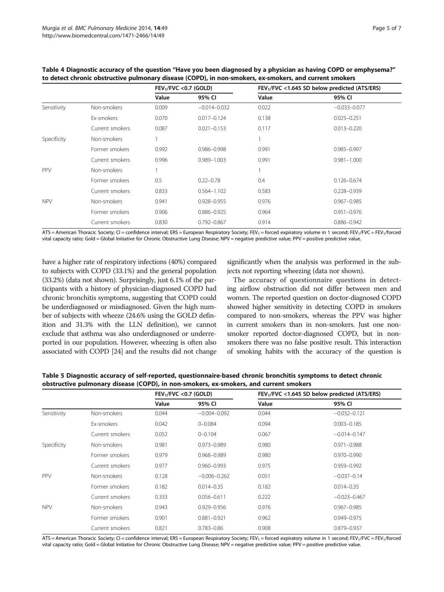<span id="page-4-0"></span>Table 4 Diagnostic accuracy of the question "Have you been diagnosed by a physician as having COPD or emphysema?" to detect chronic obstructive pulmonary disease (COPD), in non-smokers, ex-smokers, and current smokers

|             |                 | $FEV1/FVC < 0.7$ (GOLD) |                  | $FEV1/FVC < 1.645 SD$ below predicted (ATS/ERS) |                  |
|-------------|-----------------|-------------------------|------------------|-------------------------------------------------|------------------|
|             |                 | Value                   | 95% CI           | Value                                           | 95% CI           |
| Sensitivity | Non-smokers     | 0.009                   | $-0.014 - 0.032$ | 0.022                                           | $-0.033 - 0.077$ |
|             | Ex-smokers      | 0.070                   | $0.017 - 0.124$  | 0.138                                           | $0.025 - 0.251$  |
|             | Current smokers | 0.087                   | $0.021 - 0.153$  | 0.117                                           | $0.013 - 0.220$  |
| Specificity | Non-smokers     |                         |                  |                                                 |                  |
|             | Former smokers  | 0.992                   | 0.986-0.998      | 0.991                                           | 0.985-0.997      |
|             | Current smokers | 0.996                   | 0.989-1.003      | 0.991                                           | $0.981 - 1.000$  |
| PPV         | Non-smokers     |                         |                  |                                                 |                  |
|             | Former smokers  | 0.5                     | $0.22 - 0.78$    | 0.4                                             | $0.126 - 0.674$  |
|             | Current smokers | 0.833                   | $0.564 - 1.102$  | 0.583                                           | 0.228-0.939      |
| <b>NPV</b>  | Non-smokers     | 0.941                   | 0.928-0.955      | 0.976                                           | $0.967 - 0.985$  |
|             | Former smokers  | 0.906                   | 0.886-0.925      | 0.964                                           | $0.951 - 0.976$  |
|             | Current smokers | 0.830                   | $0.792 - 0.867$  | 0.914                                           | 0.886-0.942      |

ATS = American Thoracic Society; CI = confidence interval; ERS = European Respiratory Society; FEV<sub>1</sub> = forced expiratory volume in 1 second; FEV<sub>1</sub>/FVC = FEV<sub>1</sub>/forced vital capacity ratio; Gold = Global Initiative for Chronic Obstructive Lung Disease; NPV = negative predictive value; PPV = positive predictive value.

have a higher rate of respiratory infections (40%) compared to subjects with COPD (33.1%) and the general population (33.2%) (data not shown). Surprisingly, just 6.1% of the participants with a history of physician-diagnosed COPD had chronic bronchitis symptoms, suggesting that COPD could be underdiagnosed or misdiagnosed. Given the high number of subjects with wheeze (24.6% using the GOLD definition and 31.3% with the LLN definition), we cannot exclude that asthma was also underdiagnosed or underreported in our population. However, wheezing is often also associated with COPD [[24](#page-6-0)] and the results did not change

significantly when the analysis was performed in the subjects not reporting wheezing (data nor shown).

The accuracy of questionnaire questions in detecting airflow obstruction did not differ between men and women. The reported question on doctor-diagnosed COPD showed higher sensitivity in detecting COPD in smokers compared to non-smokers, whereas the PPV was higher in current smokers than in non-smokers. Just one nonsmoker reported doctor-diagnosed COPD, but in nonsmokers there was no false positive result. This interaction of smoking habits with the accuracy of the question is

Table 5 Diagnostic accuracy of self-reported, questionnaire-based chronic bronchitis symptoms to detect chronic obstructive pulmonary disease (COPD), in non-smokers, ex-smokers, and current smokers

|             |                 | $FEV1/FVC < 0.7$ (GOLD) |                  | $FEV1/FVC < 1.645 SD$ below predicted (ATS/ERS) |                  |
|-------------|-----------------|-------------------------|------------------|-------------------------------------------------|------------------|
|             |                 | Value                   | 95% CI           | Value                                           | 95% CI           |
| Sensitivity | Non-smokers     | 0.044                   | $-0.004 - 0.092$ | 0.044                                           | $-0.032 - 0.121$ |
|             | Ex-smokers      | 0.042                   | $0 - 0.084$      | 0.094                                           | $0.003 - 0.185$  |
|             | Current smokers | 0.052                   | $0 - 0.104$      | 0.067                                           | $-0.014 - 0.147$ |
| Specificity | Non-smokers     | 0.981                   | 0.973-0.989      | 0.980                                           | $0.971 - 0.988$  |
|             | Former smokers  | 0.979                   | 0.968-0.989      | 0.980                                           | $0.970 - 0.990$  |
|             | Current smokers | 0.977                   | $0.960 - 0.993$  | 0.975                                           | 0.959-0.992      |
| <b>PPV</b>  | Non-smokers     | 0.128                   | $-0.006 - 0.262$ | 0.051                                           | $-0.037 - 0.14$  |
|             | Former smokers  | 0.182                   | $0.014 - 0.35$   | 0.182                                           | $0.014 - 0.35$   |
|             | Current smokers | 0.333                   | $0.056 - 0.611$  | 0.222                                           | $-0.023 - 0.467$ |
| <b>NPV</b>  | Non-smokers     | 0.943                   | 0.929-0.956      | 0.976                                           | $0.967 - 0.985$  |
|             | Former smokers  | 0.901                   | $0.881 - 0.921$  | 0.962                                           | 0.949-0.975      |
|             | Current smokers | 0.821                   | $0.783 - 0.86$   | 0.908                                           | 0.879-0.937      |

ATS = American Thoracic Society; CI = confidence interval; ERS = European Respiratory Society; FEV<sub>1</sub> = forced expiratory volume in 1 second; FEV<sub>1</sub>/FVC = FEV<sub>1</sub>/forced vital capacity ratio; Gold = Global Initiative for Chronic Obstructive Lung Disease; NPV = negative predictive value; PPV = positive predictive value.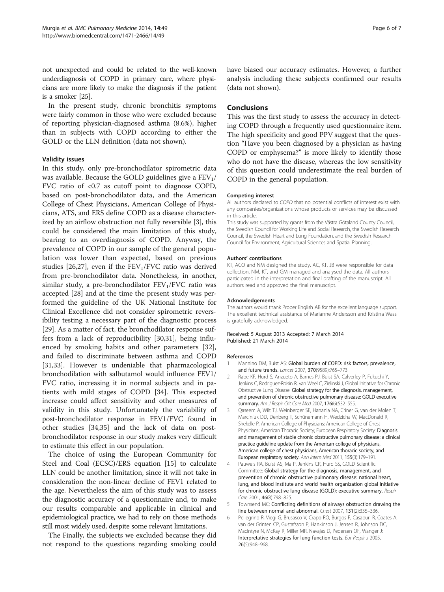<span id="page-5-0"></span>not unexpected and could be related to the well-known underdiagnosis of COPD in primary care, where physicians are more likely to make the diagnosis if the patient is a smoker [\[25](#page-6-0)].

In the present study, chronic bronchitis symptoms were fairly common in those who were excluded because of reporting physician-diagnosed asthma (8.6%), higher than in subjects with COPD according to either the GOLD or the LLN definition (data not shown).

### Validity issues

In this study, only pre-bronchodilator spirometric data was available. Because the GOLD guidelines give a  $FEV<sub>1</sub>/$ FVC ratio of <0.7 as cutoff point to diagnose COPD, based on post-bronchodilator data, and the American College of Chest Physicians, American College of Physicians, ATS, and ERS define COPD as a disease characterized by an airflow obstruction not fully reversible [3], this could be considered the main limitation of this study, bearing to an overdiagnosis of COPD. Anyway, the prevalence of COPD in our sample of the general population was lower than expected, based on previous studies [[26,27\]](#page-6-0), even if the  $FEV<sub>1</sub>/FVC$  ratio was derived from pre-bronchodilator data. Nonetheless, in another, similar study, a pre-bronchodilator  $FEV<sub>1</sub>/FVC$  ratio was accepted [[28](#page-6-0)] and at the time the present study was performed the guideline of the UK National Institute for Clinical Excellence did not consider spirometric reversibility testing a necessary part of the diagnostic process [[29\]](#page-6-0). As a matter of fact, the bronchodilator response suffers from a lack of reproducibility [\[30,31\]](#page-6-0), being influenced by smoking habits and other parameters [[32](#page-6-0)], and failed to discriminate between asthma and COPD [[31,33\]](#page-6-0). However is undeniable that pharmacological bronchodilation with salbutamol would influence FEV1/ FVC ratio, increasing it in normal subjects and in patients with mild stages of COPD [\[34](#page-6-0)]. This expected increase could affect sensitivity and other measures of validity in this study. Unfortunately the variability of post-bronchodilator response in FEV1/FVC found in other studies [\[34,35\]](#page-6-0) and the lack of data on postbronchodilator response in our study makes very difficult to estimate this effect in our population.

The choice of using the European Community for Steel and Coal (ECSC)/ERS equation [[15\]](#page-6-0) to calculate LLN could be another limitation, since it will not take in consideration the non-linear decline of FEV1 related to the age. Nevertheless the aim of this study was to assess the diagnostic accuracy of a questionnaire and, to make our results comparable and applicable in clinical and epidemiological practice, we had to rely on those methods still most widely used, despite some relevant limitations.

The Finally, the subjects we excluded because they did not respond to the questions regarding smoking could

## Conclusions

This was the first study to assess the accuracy in detecting COPD through a frequently used questionnaire item. The high specificity and good PPV suggest that the question "Have you been diagnosed by a physician as having COPD or emphysema?" is more likely to identify those who do not have the disease, whereas the low sensitivity of this question could underestimate the real burden of COPD in the general population.

#### Competing interest

All authors declared to COPD that no potential conflicts of interest exist with any companies/organizations whose products or services may be discussed in this article.

This study was supported by grants from the Västra Götaland County Council, the Swedish Council for Working Life and Social Research, the Swedish Research Council, the Swedish Heart and Lung Foundation, and the Swedish Research Council for Environment, Agricultural Sciences and Spatial Planning.

#### Authors' contributions

KT, ACO and NM designed the study. AC, KT, JB were responsible for data collection. NM, KT, and GM managed and analysed the data. All authors participated in the interpretation and final drafting of the manuscript. All authors read and approved the final manuscript.

#### Acknowledgements

The authors would thank Proper English AB for the excellent language support. The excellent technical assistance of Marianne Andersson and Kristina Wass is gratefully acknowledged.

#### Received: 5 August 2013 Accepted: 7 March 2014 Published: 21 March 2014

#### References

- 1. Mannino DM, Buist AS: Global burden of COPD: risk factors, prevalence, and future trends. Lancet 2007, 370(9589):765–773.
- 2. Rabe KF, Hurd S, Anzueto A, Barnes PJ, Buist SA, Calverley P, Fukuchi Y, Jenkins C, Rodriguez-Roisin R, van Weel C, Zielinski J, Global Initiative for Chronic Obstructive Lung Disease: Global strategy for the diagnosis, management, and prevention of chronic obstructive pulmonary disease: GOLD executive summary. Am J Respir Crit Care Med 2007, 176(6):532–555.
- 3. Qaseem A, Wilt TJ, Weinberger SE, Hanania NA, Criner G, van der Molen T, Marciniuk DD, Denberg T, Schünemann H, Wedzicha W, MacDonald R, Shekelle P, American College of Physicians; American College of Chest Physicians; American Thoracic Society; European Respiratory Society: Diagnosis and management of stable chronic obstructive pulmonary disease: a clinical practice guideline update from the American college of physicians, American college of chest physicians, American thoracic society, and European respiratory society. Ann Intern Med 2011, 155(3):179–191.
- 4. Pauwels RA, Buist AS, Ma P, Jenkins CR, Hurd SS, GOLD Scientific Committee: Global strategy for the diagnosis, management, and prevention of chronic obstructive pulmonary disease: national heart, lung, and blood institute and world health organization global initiative for chronic obstructive lung disease (GOLD): executive summary. Respir Care 2001, 46(8):798–825.
- 5. Townsend MC: Conflicting definitions of airways obstruction drawing the line between normal and abnormal. Chest 2007, 131(2):335–336.
- 6. Pellegrino R, Viegi G, Brusasco V, Crapo RO, Burgos F, Casaburi R, Coates A, van der Grinten CP, Gustafsson P, Hankinson J, Jensen R, Johnson DC, MacIntyre N, McKay R, Miller MR, Navajas D, Pedersen OF, Wanger J: Interpretative strategies for lung function tests. Eur Respir J 2005, 26(5):948–968.